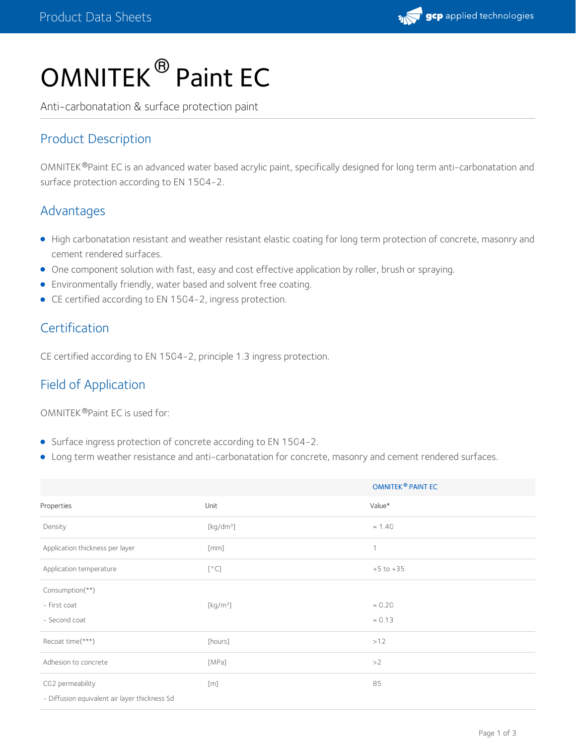

# OMNITEK<sup>®</sup> Paint EC

Anti-carbonatation & surface protection paint

## Product Description

OMNITEK®Paint EC is an advanced water based acrylic paint, specifically designed for long term anti-carbonatation and surface protection according to EN 1504-2.

## Advantages

- High carbonatation resistant and weather resistant elastic coating for long term protection of concrete, masonry and cement rendered surfaces.
- One component solution with fast, easy and cost effective application by roller, brush or spraying.
- Environmentally friendly, water based and solvent free coating.
- CE certified according to EN 1504-2, ingress protection.

## Certification

CE certified according to EN 1504-2, principle 1.3 ingress protection.

## Field of Application

OMNITEK ®Paint EC is used for:

- Surface ingress protection of concrete according to EN 1504-2.
- Long term weather resistance and anti-carbonatation for concrete, masonry and cement rendered surfaces.

|                                               |                                         | <b>OMNITEK<sup>®</sup> PAINT EC</b> |  |
|-----------------------------------------------|-----------------------------------------|-------------------------------------|--|
| Properties                                    | Unit                                    | Value*                              |  |
| Density                                       | [kg/dm <sup>3</sup> ]                   | $\approx 1.40$                      |  |
| Application thickness per layer               | [mm]                                    | 1                                   |  |
| Application temperature                       | [°C]                                    | $+5$ to $+35$                       |  |
| Consumption(**)                               |                                         |                                     |  |
| - First coat                                  | $\left[\mathrm{kg}/\mathrm{m}^2\right]$ | $\approx 0.20$                      |  |
| - Second coat                                 |                                         | $\approx 0.13$                      |  |
| Recoat time(***)                              | [hours]                                 | >12                                 |  |
| Adhesion to concrete                          | [MPa]                                   | >2                                  |  |
| C02 permeability                              | [m]                                     | 85                                  |  |
| - Diffusion equivalent air layer thickness Sd |                                         |                                     |  |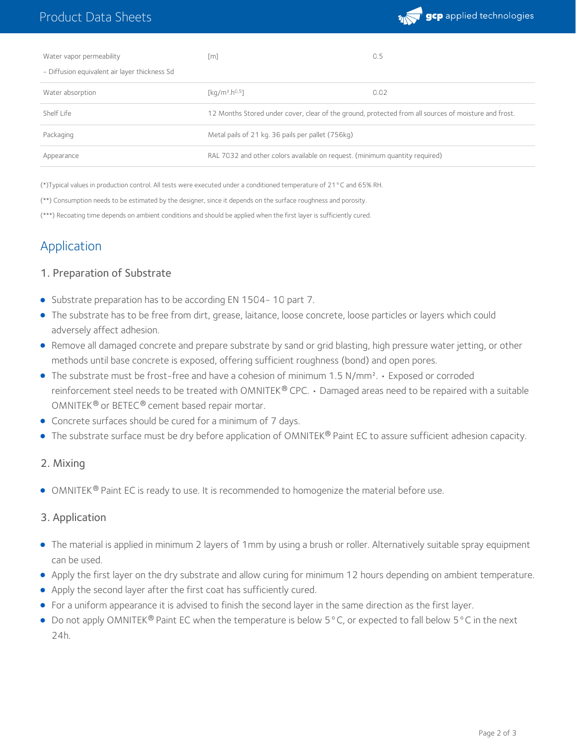

| Water vapor permeability                      | [m]                                                                                                  | 0.5  |
|-----------------------------------------------|------------------------------------------------------------------------------------------------------|------|
| - Diffusion equivalent air layer thickness Sd |                                                                                                      |      |
| Water absorption                              | [kq/m <sup>2</sup> .h <sup>0,5</sup> ]                                                               | 0.02 |
| Shelf Life                                    | 12 Months Stored under cover, clear of the ground, protected from all sources of moisture and frost. |      |
| Packaging                                     | Metal pails of 21 kg. 36 pails per pallet (756kg)                                                    |      |
| Appearance                                    | RAL 7032 and other colors available on request. (minimum quantity required)                          |      |

(\*)Typical values in production control. All tests were executed under a conditioned temperature of 21°C and 65% RH.

(\*\*) Consumption needs to be estimated by the designer, since it depends on the surface roughness and porosity.

(\*\*\*) Recoating time depends on ambient conditions and should be applied when the first layer is sufficiently cured.

## **Application**

#### 1. Preparation of Substrate

- Substrate preparation has to be according EN 1504-10 part 7.
- The substrate has to be free from dirt, grease, laitance, loose concrete, loose particles or layers which could adversely affect adhesion.
- Remove all damaged concrete and prepare substrate by sand or grid blasting, high pressure water jetting, or other methods until base concrete is exposed, offering sufficient roughness (bond) and open pores.
- The substrate must be frost-free and have a cohesion of minimum 1.5 N/mm². Exposed or corroded reinforcement steel needs to be treated with OMNITEK® CPC.  $\cdot$  Damaged areas need to be repaired with a suitable OMNITEK® or BETEC® cement based repair mortar.
- Concrete surfaces should be cured for a minimum of 7 days.
- $\bullet$  The substrate surface must be dry before application of OMNITEK® Paint EC to assure sufficient adhesion capacity.

#### 2. Mixing

OMNITEK  $\Theta$  Paint EC is ready to use. It is recommended to homogenize the material before use.

#### 3. Application

- The material is applied in minimum 2layers of 1mm by using a brush or roller. Alternatively suitable spray equipment can be used.
- Apply the first layer on the dry substrate and allow curing for minimum 12 hours depending on ambient temperature.
- Apply the second layer after the first coat has sufficiently cured.
- For a uniform appearance it is advised to finish the second layer in the same direction as the first layer.
- Do not apply OMNITEK $^{\circledR}$  Paint EC when the temperature is below 5°C, or expected to fall below 5°C in the next 24h.